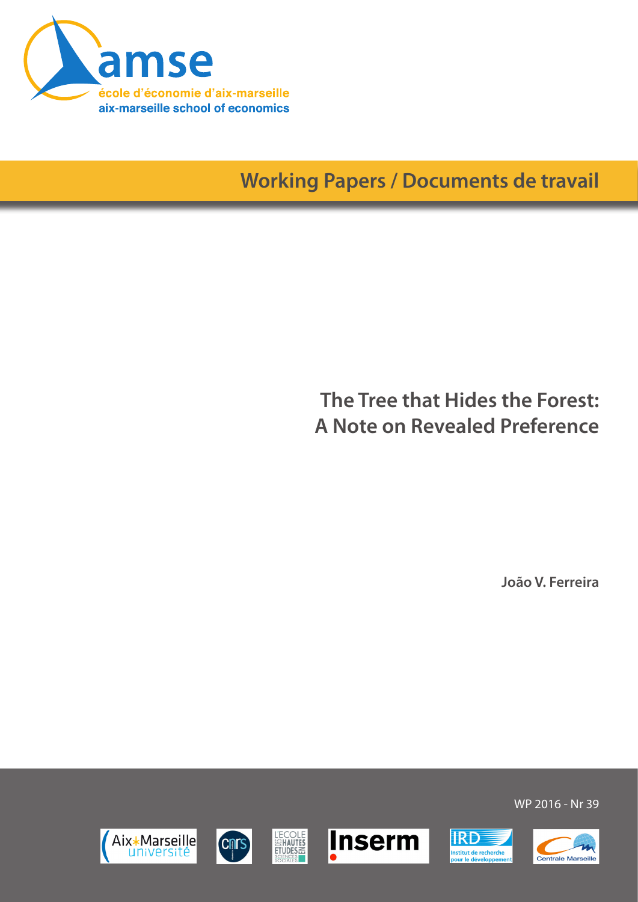

# **Working Papers / Documents de travail**

## **The Tree that Hides the Forest: A Note on Revealed Preference**

**João V. Ferreira**













**IRD** 

nstitut de recherche<br>pour le développeme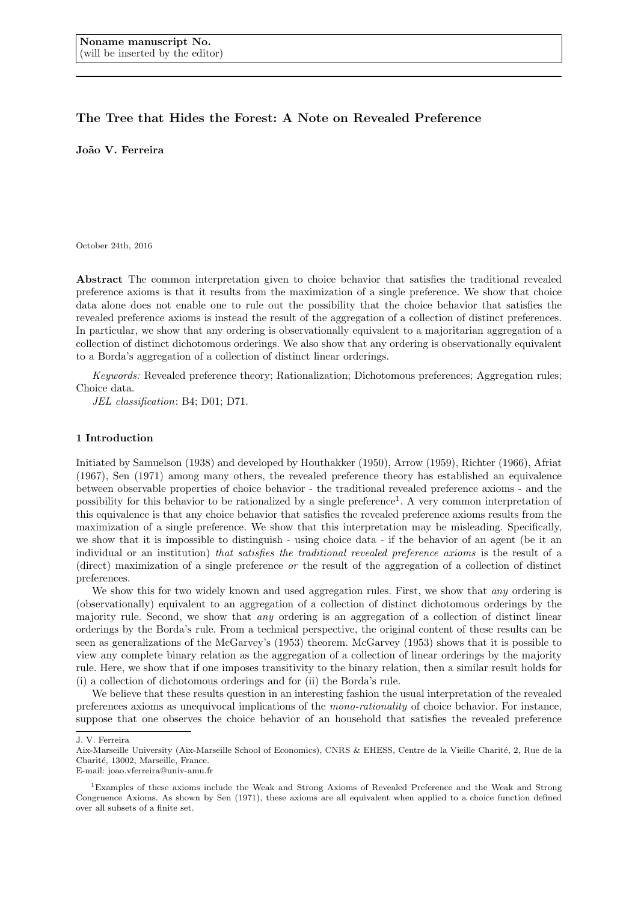### The Tree that Hides the Forest: A Note on Revealed Preference

João V. Ferreira

October 24th, 2016

Abstract The common interpretation given to choice behavior that satisfies the traditional revealed preference axioms is that it results from the maximization of a single preference. We show that choice data alone does not enable one to rule out the possibility that the choice behavior that satisfies the revealed preference axioms is instead the result of the aggregation of a collection of distinct preferences. In particular, we show that any ordering is observationally equivalent to a majoritarian aggregation of a collection of distinct dichotomous orderings. We also show that any ordering is observationally equivalent to a Borda's aggregation of a collection of distinct linear orderings.

Keywords: Revealed preference theory; Rationalization; Dichotomous preferences; Aggregation rules; Choice data.

JEL classification: B4; D01; D71.

#### 1 Introduction

Initiated by Samuelson (1938) and developed by Houthakker (1950), Arrow (1959), Richter (1966), Afriat (1967), Sen (1971) among many others, the revealed preference theory has established an equivalence between observable properties of choice behavior - the traditional revealed preference axioms - and the possibility for this behavior to be rationalized by a single preference<sup>1</sup>. A very common interpretation of this equivalence is that any choice behavior that satisfies the revealed preference axioms results from the maximization of a single preference. We show that this interpretation may be misleading. Specifically, we show that it is impossible to distinguish - using choice data - if the behavior of an agent (be it an individual or an institution) that satisfies the traditional revealed preference axioms is the result of a (direct) maximization of a single preference or the result of the aggregation of a collection of distinct preferences.

We show this for two widely known and used aggregation rules. First, we show that *any* ordering is (observationally) equivalent to an aggregation of a collection of distinct dichotomous orderings by the majority rule. Second, we show that any ordering is an aggregation of a collection of distinct linear orderings by the Borda's rule. From a technical perspective, the original content of these results can be seen as generalizations of the McGarvey's (1953) theorem. McGarvey (1953) shows that it is possible to view any complete binary relation as the aggregation of a collection of linear orderings by the majority rule. Here, we show that if one imposes transitivity to the binary relation, then a similar result holds for (i) a collection of dichotomous orderings and for (ii) the Borda's rule.

We believe that these results question in an interesting fashion the usual interpretation of the revealed preferences axioms as unequivocal implications of the mono-rationality of choice behavior. For instance, suppose that one observes the choice behavior of an household that satisfies the revealed preference

E-mail: joao.vferreira@univ-amu.fr

J. V. Ferreira

Aix-Marseille University (Aix-Marseille School of Economics), CNRS & EHESS, Centre de la Vieille Charité, 2, Rue de la Charité, 13002, Marseille, France.

<sup>1</sup>Examples of these axioms include the Weak and Strong Axioms of Revealed Preference and the Weak and Strong Congruence Axioms. As shown by Sen (1971), these axioms are all equivalent when applied to a choice function defined over all subsets of a finite set.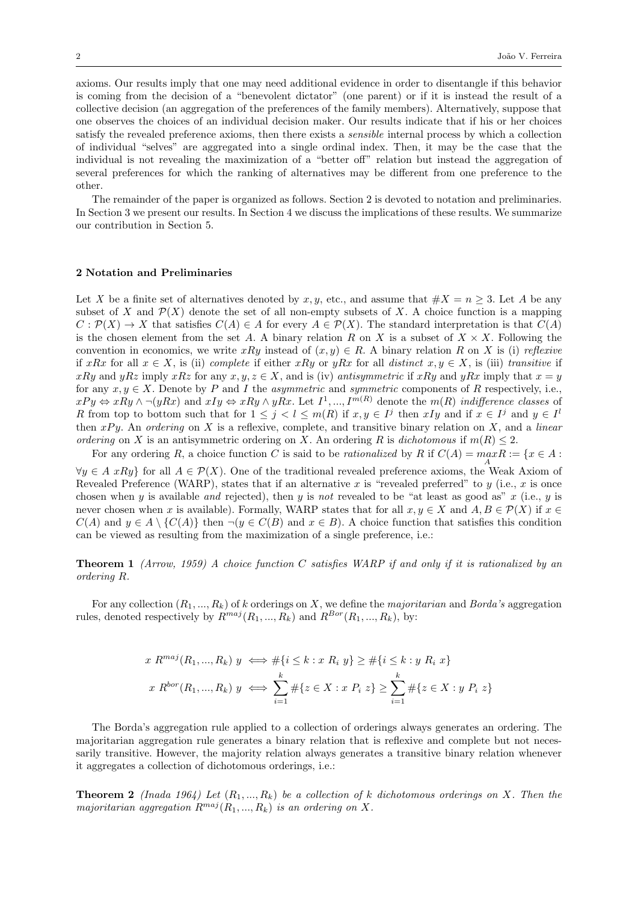axioms. Our results imply that one may need additional evidence in order to disentangle if this behavior is coming from the decision of a "benevolent dictator" (one parent) or if it is instead the result of a collective decision (an aggregation of the preferences of the family members). Alternatively, suppose that one observes the choices of an individual decision maker. Our results indicate that if his or her choices satisfy the revealed preference axioms, then there exists a sensible internal process by which a collection of individual "selves" are aggregated into a single ordinal index. Then, it may be the case that the individual is not revealing the maximization of a "better off" relation but instead the aggregation of several preferences for which the ranking of alternatives may be different from one preference to the other.

The remainder of the paper is organized as follows. Section 2 is devoted to notation and preliminaries. In Section 3 we present our results. In Section 4 we discuss the implications of these results. We summarize our contribution in Section 5.

#### 2 Notation and Preliminaries

Let X be a finite set of alternatives denoted by x, y, etc., and assume that  $\#X = n \geq 3$ . Let A be any subset of X and  $\mathcal{P}(X)$  denote the set of all non-empty subsets of X. A choice function is a mapping  $C: \mathcal{P}(X) \to X$  that satisfies  $C(A) \in A$  for every  $A \in \mathcal{P}(X)$ . The standard interpretation is that  $C(A)$ is the chosen element from the set A. A binary relation R on X is a subset of  $X \times X$ . Following the convention in economics, we write xRy instead of  $(x, y) \in R$ . A binary relation R on X is (i) reflexive if xRx for all  $x \in X$ , is (ii) complete if either xRy or yRx for all distinct  $x, y \in X$ , is (iii) transitive if xRy and yRz imply xRz for any  $x, y, z \in X$ , and is (iv) antisymmetric if xRy and yRx imply that  $x = y$ for any  $x, y \in X$ . Denote by P and I the *asymmetric* and *symmetric* components of R respectively, i.e.,  $xPy \Leftrightarrow xRy \wedge \neg(yRx)$  and  $xIy \Leftrightarrow xRy \wedge yRx$ . Let  $I^1, ..., I^{m(R)}$  denote the  $m(R)$  indifference classes of R from top to bottom such that for  $1 \leq j < l \leq m(R)$  if  $x, y \in I^j$  then  $xIy$  and if  $x \in I^j$  and  $y \in I^l$ then  $xPy$ . An ordering on X is a reflexive, complete, and transitive binary relation on X, and a linear ordering on X is an antisymmetric ordering on X. An ordering R is dichotomous if  $m(R) \leq 2$ .

For any ordering R, a choice function C is said to be *rationalized* by R if  $C(A) = \max_{A} R := \{x \in A : A \neq A\}$  $\forall y \in A \; xRy$  for all  $A \in \mathcal{P}(X)$ . One of the traditional revealed preference axioms, the Weak Axiom of Revealed Preference (WARP), states that if an alternative x is "revealed preferred" to y (i.e., x is once chosen when y is available and rejected), then y is not revealed to be "at least as good as"  $x$  (i.e.,  $y$  is never chosen when x is available). Formally, WARP states that for all  $x, y \in X$  and  $A, B \in \mathcal{P}(X)$  if  $x \in \mathcal{P}(X)$  $C(A)$  and  $y \in A \setminus \{C(A)\}\$  then  $\neg(y \in C(B)$  and  $x \in B)$ . A choice function that satisfies this condition can be viewed as resulting from the maximization of a single preference, i.e.:

**Theorem 1** (Arrow, 1959) A choice function C satisfies WARP if and only if it is rationalized by an ordering R.

For any collection  $(R_1, ..., R_k)$  of k orderings on X, we define the *majoritarian* and *Borda's* aggregation rules, denoted respectively by  $R^{maj}(R_1, ..., R_k)$  and  $R^{Bor}(R_1, ..., R_k)$ , by:

$$
x R^{maj}(R_1, ..., R_k) y \iff \# \{i \le k : x R_i y\} \ge \# \{i \le k : y R_i x\}
$$
  

$$
x R^{bor}(R_1, ..., R_k) y \iff \sum_{i=1}^k \# \{z \in X : x P_i z\} \ge \sum_{i=1}^k \# \{z \in X : y P_i z\}
$$

The Borda's aggregation rule applied to a collection of orderings always generates an ordering. The majoritarian aggregation rule generates a binary relation that is reflexive and complete but not necessarily transitive. However, the majority relation always generates a transitive binary relation whenever it aggregates a collection of dichotomous orderings, i.e.:

**Theorem 2** (Inada 1964) Let  $(R_1, ..., R_k)$  be a collection of k dichotomous orderings on X. Then the majoritarian aggregation  $R^{maj}(R_1, ..., R_k)$  is an ordering on X.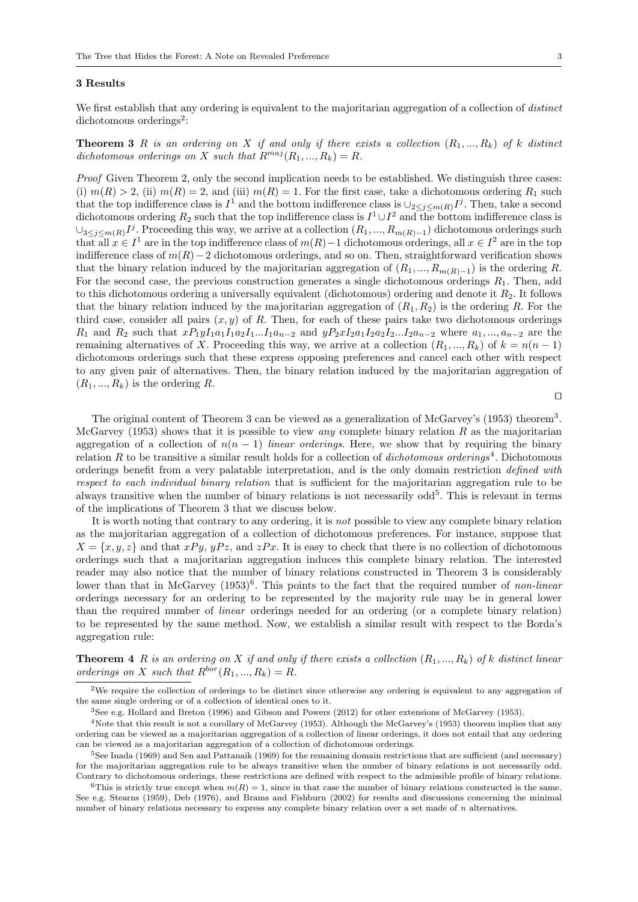#### 3 Results

We first establish that any ordering is equivalent to the majoritarian aggregation of a collection of *distinct* dichotomous orderings<sup>2</sup>:

**Theorem 3** R is an ordering on X if and only if there exists a collection  $(R_1, ..., R_k)$  of k distinct dichotomous orderings on X such that  $R^{maj}(R_1, ..., R_k) = R$ .

Proof Given Theorem 2, only the second implication needs to be established. We distinguish three cases: (i)  $m(R) > 2$ , (ii)  $m(R) = 2$ , and (iii)  $m(R) = 1$ . For the first case, take a dichotomous ordering  $R_1$  such that the top indifference class is  $I^1$  and the bottom indifference class is  $\cup_{2\leq j\leq m(R)} I^j$ . Then, take a second dichotomous ordering  $R_2$  such that the top indifference class is  $I^1 \cup I^2$  and the bottom indifference class is  $\cup_{3\leq j\leq m(R)} I^j$ . Proceeding this way, we arrive at a collection  $(R_1, ..., R_{m(R)-1})$  dichotomous orderings such that all  $x \in I^1$  are in the top indifference class of  $m(R) - 1$  dichotomous orderings, all  $x \in I^2$  are in the top indifference class of  $m(R)-2$  dichotomous orderings, and so on. Then, straightforward verification shows that the binary relation induced by the majoritarian aggregation of  $(R_1, ..., R_{m(R)-1})$  is the ordering R. For the second case, the previous construction generates a single dichotomous orderings  $R_1$ . Then, add to this dichotomous ordering a universally equivalent (dichotomous) ordering and denote it  $R<sub>2</sub>$ . It follows that the binary relation induced by the majoritarian aggregation of  $(R_1, R_2)$  is the ordering R. For the third case, consider all pairs  $(x, y)$  of R. Then, for each of these pairs take two dichotomous orderings  $R_1$  and  $R_2$  such that  $xP_1yI_1a_1I_1a_2I_1...I_1a_{n-2}$  and  $yP_2xI_2a_1I_2a_2I_2...I_2a_{n-2}$  where  $a_1, ..., a_{n-2}$  are the remaining alternatives of X. Proceeding this way, we arrive at a collection  $(R_1, ..., R_k)$  of  $k = n(n - 1)$ dichotomous orderings such that these express opposing preferences and cancel each other with respect to any given pair of alternatives. Then, the binary relation induced by the majoritarian aggregation of  $(R_1, ..., R_k)$  is the ordering R.

 $\Box$ 

The original content of Theorem 3 can be viewed as a generalization of McGarvey's (1953) theorem<sup>3</sup>. McGarvey (1953) shows that it is possible to view *any* complete binary relation R as the majoritarian aggregation of a collection of  $n(n - 1)$  linear orderings. Here, we show that by requiring the binary relation R to be transitive a similar result holds for a collection of *dichotomous orderings*<sup>4</sup>. Dichotomous orderings benefit from a very palatable interpretation, and is the only domain restriction defined with respect to each individual binary relation that is sufficient for the majoritarian aggregation rule to be always transitive when the number of binary relations is not necessarily  $odd^5$ . This is relevant in terms of the implications of Theorem 3 that we discuss below.

It is worth noting that contrary to any ordering, it is not possible to view any complete binary relation as the majoritarian aggregation of a collection of dichotomous preferences. For instance, suppose that  $X = \{x, y, z\}$  and that  $xPy$ ,  $yPz$ , and  $zPx$ . It is easy to check that there is no collection of dichotomous orderings such that a majoritarian aggregation induces this complete binary relation. The interested reader may also notice that the number of binary relations constructed in Theorem 3 is considerably lower than that in McGarvey  $(1953)^6$ . This points to the fact that the required number of non-linear orderings necessary for an ordering to be represented by the majority rule may be in general lower than the required number of linear orderings needed for an ordering (or a complete binary relation) to be represented by the same method. Now, we establish a similar result with respect to the Borda's aggregation rule:

**Theorem 4** R is an ordering on X if and only if there exists a collection  $(R_1, ..., R_k)$  of k distinct linear orderings on X such that  $R^{bor}(R_1, ..., R_k) = R$ .

 $2$ We require the collection of orderings to be distinct since otherwise any ordering is equivalent to any aggregation of the same single ordering or of a collection of identical ones to it.

<sup>3</sup>See e.g. Hollard and Breton (1996) and Gibson and Powers (2012) for other extensions of McGarvey (1953).

<sup>&</sup>lt;sup>4</sup>Note that this result is not a corollary of McGarvey (1953). Although the McGarvey's (1953) theorem implies that any ordering can be viewed as a majoritarian aggregation of a collection of linear orderings, it does not entail that any ordering can be viewed as a majoritarian aggregation of a collection of dichotomous orderings.

<sup>5</sup>See Inada (1969) and Sen and Pattanaik (1969) for the remaining domain restrictions that are sufficient (and necessary) for the majoritarian aggregation rule to be always transitive when the number of binary relations is not necessarily odd. Contrary to dichotomous orderings, these restrictions are defined with respect to the admissible profile of binary relations.

<sup>&</sup>lt;sup>6</sup>This is strictly true except when  $m(R) = 1$ , since in that case the number of binary relations constructed is the same. See e.g. Stearns (1959), Deb (1976), and Brams and Fishburn (2002) for results and discussions concerning the minimal number of binary relations necessary to express any complete binary relation over a set made of n alternatives.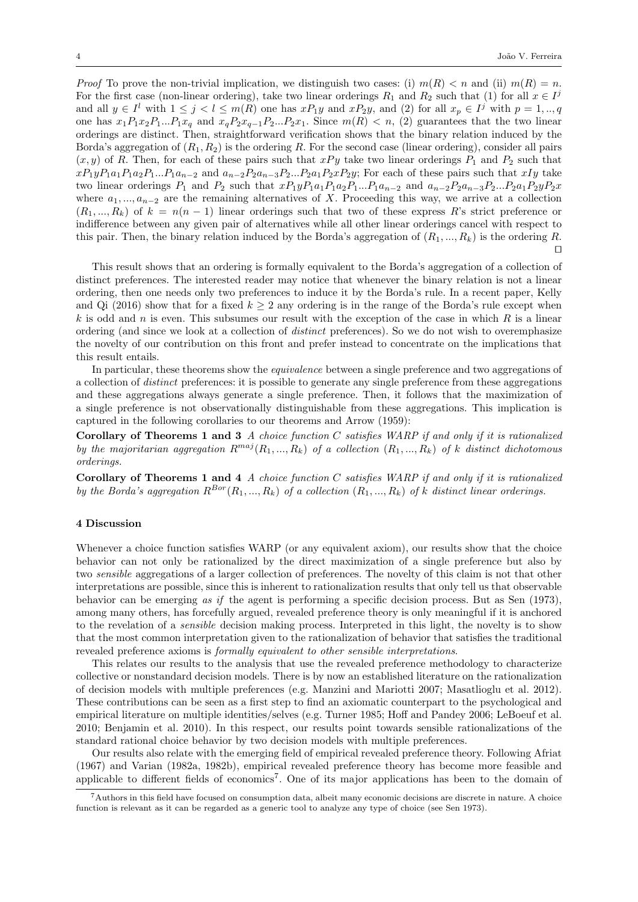*Proof* To prove the non-trivial implication, we distinguish two cases: (i)  $m(R) < n$  and (ii)  $m(R) = n$ . For the first case (non-linear ordering), take two linear orderings  $R_1$  and  $R_2$  such that (1) for all  $x \in I<sup>j</sup>$ and all  $y \in I^l$  with  $1 \leq j < l \leq m(R)$  one has  $xP_1y$  and  $xP_2y$ , and (2) for all  $x_p \in I^j$  with  $p = 1, ..., q$ one has  $x_1P_1x_2P_1...P_1x_q$  and  $x_qP_2x_{q-1}P_2...P_2x_1$ . Since  $m(R) < n$ , (2) guarantees that the two linear orderings are distinct. Then, straightforward verification shows that the binary relation induced by the Borda's aggregation of  $(R_1, R_2)$  is the ordering R. For the second case (linear ordering), consider all pairs  $(x, y)$  of R. Then, for each of these pairs such that  $xPy$  take two linear orderings  $P_1$  and  $P_2$  such that  $xP_1yP_1a_1P_1a_2P_1...P_1a_{n-2}$  and  $a_{n-2}P_2a_{n-3}P_2...P_2a_1P_2xP_2y$ ; For each of these pairs such that  $xIy$  take two linear orderings  $P_1$  and  $P_2$  such that  $xP_1yP_1a_1P_1a_2P_1...P_1a_{n-2}$  and  $a_{n-2}P_2a_{n-3}P_2...P_2a_1P_2yP_2x$ where  $a_1, ..., a_{n-2}$  are the remaining alternatives of X. Proceeding this way, we arrive at a collection  $(R_1, ..., R_k)$  of  $k = n(n-1)$  linear orderings such that two of these express R's strict preference or indifference between any given pair of alternatives while all other linear orderings cancel with respect to this pair. Then, the binary relation induced by the Borda's aggregation of  $(R_1, ..., R_k)$  is the ordering R.  $\Box$ 

This result shows that an ordering is formally equivalent to the Borda's aggregation of a collection of distinct preferences. The interested reader may notice that whenever the binary relation is not a linear ordering, then one needs only two preferences to induce it by the Borda's rule. In a recent paper, Kelly and Qi (2016) show that for a fixed  $k \geq 2$  any ordering is in the range of the Borda's rule except when k is odd and n is even. This subsumes our result with the exception of the case in which  $R$  is a linear ordering (and since we look at a collection of distinct preferences). So we do not wish to overemphasize the novelty of our contribution on this front and prefer instead to concentrate on the implications that this result entails.

In particular, these theorems show the *equivalence* between a single preference and two aggregations of a collection of distinct preferences: it is possible to generate any single preference from these aggregations and these aggregations always generate a single preference. Then, it follows that the maximization of a single preference is not observationally distinguishable from these aggregations. This implication is captured in the following corollaries to our theorems and Arrow (1959):

Corollary of Theorems 1 and 3 A choice function C satisfies WARP if and only if it is rationalized by the majoritarian aggregation  $R^{maj}(R_1, ..., R_k)$  of a collection  $(R_1, ..., R_k)$  of k distinct dichotomous orderings.

Corollary of Theorems 1 and 4 A choice function  $C$  satisfies WARP if and only if it is rationalized by the Borda's aggregation  $R^{Bor}(R_1,...,R_k)$  of a collection  $(R_1,...,R_k)$  of k distinct linear orderings.

#### 4 Discussion

Whenever a choice function satisfies WARP (or any equivalent axiom), our results show that the choice behavior can not only be rationalized by the direct maximization of a single preference but also by two sensible aggregations of a larger collection of preferences. The novelty of this claim is not that other interpretations are possible, since this is inherent to rationalization results that only tell us that observable behavior can be emerging as if the agent is performing a specific decision process. But as Sen (1973), among many others, has forcefully argued, revealed preference theory is only meaningful if it is anchored to the revelation of a sensible decision making process. Interpreted in this light, the novelty is to show that the most common interpretation given to the rationalization of behavior that satisfies the traditional revealed preference axioms is formally equivalent to other sensible interpretations.

This relates our results to the analysis that use the revealed preference methodology to characterize collective or nonstandard decision models. There is by now an established literature on the rationalization of decision models with multiple preferences (e.g. Manzini and Mariotti 2007; Masatlioglu et al. 2012). These contributions can be seen as a first step to find an axiomatic counterpart to the psychological and empirical literature on multiple identities/selves (e.g. Turner 1985; Hoff and Pandey 2006; LeBoeuf et al. 2010; Benjamin et al. 2010). In this respect, our results point towards sensible rationalizations of the standard rational choice behavior by two decision models with multiple preferences.

Our results also relate with the emerging field of empirical revealed preference theory. Following Afriat (1967) and Varian (1982a, 1982b), empirical revealed preference theory has become more feasible and applicable to different fields of economics<sup>7</sup>. One of its major applications has been to the domain of

<sup>7</sup>Authors in this field have focused on consumption data, albeit many economic decisions are discrete in nature. A choice function is relevant as it can be regarded as a generic tool to analyze any type of choice (see Sen 1973).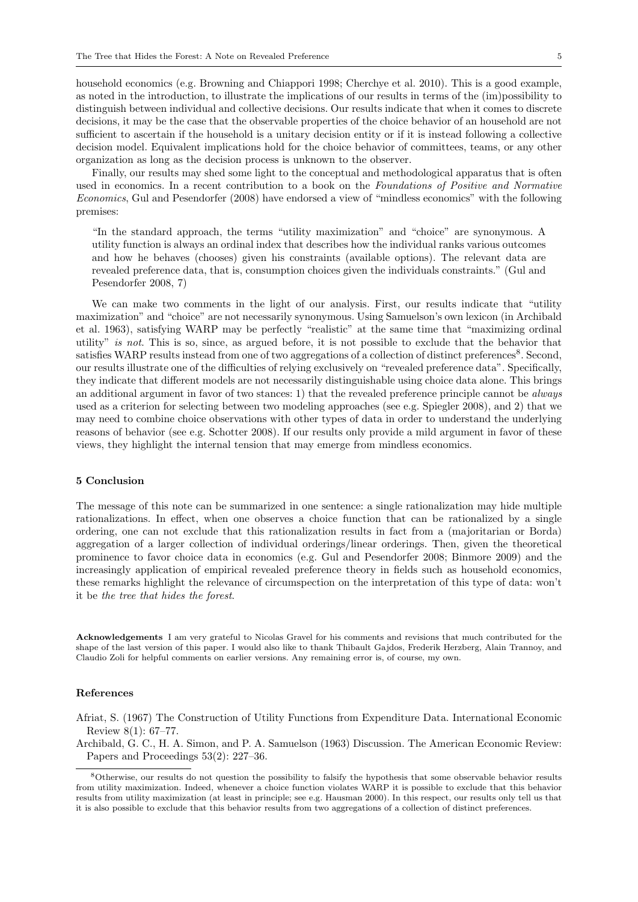household economics (e.g. Browning and Chiappori 1998; Cherchye et al. 2010). This is a good example, as noted in the introduction, to illustrate the implications of our results in terms of the (im)possibility to distinguish between individual and collective decisions. Our results indicate that when it comes to discrete decisions, it may be the case that the observable properties of the choice behavior of an household are not sufficient to ascertain if the household is a unitary decision entity or if it is instead following a collective decision model. Equivalent implications hold for the choice behavior of committees, teams, or any other organization as long as the decision process is unknown to the observer.

Finally, our results may shed some light to the conceptual and methodological apparatus that is often used in economics. In a recent contribution to a book on the Foundations of Positive and Normative Economics, Gul and Pesendorfer (2008) have endorsed a view of "mindless economics" with the following premises:

"In the standard approach, the terms "utility maximization" and "choice" are synonymous. A utility function is always an ordinal index that describes how the individual ranks various outcomes and how he behaves (chooses) given his constraints (available options). The relevant data are revealed preference data, that is, consumption choices given the individuals constraints." (Gul and Pesendorfer 2008, 7)

We can make two comments in the light of our analysis. First, our results indicate that "utility maximization" and "choice" are not necessarily synonymous. Using Samuelson's own lexicon (in Archibald et al. 1963), satisfying WARP may be perfectly "realistic" at the same time that "maximizing ordinal utility" is not. This is so, since, as argued before, it is not possible to exclude that the behavior that satisfies WARP results instead from one of two aggregations of a collection of distinct preferences<sup>8</sup>. Second, our results illustrate one of the difficulties of relying exclusively on "revealed preference data". Specifically, they indicate that different models are not necessarily distinguishable using choice data alone. This brings an additional argument in favor of two stances: 1) that the revealed preference principle cannot be *always* used as a criterion for selecting between two modeling approaches (see e.g. Spiegler 2008), and 2) that we may need to combine choice observations with other types of data in order to understand the underlying reasons of behavior (see e.g. Schotter 2008). If our results only provide a mild argument in favor of these views, they highlight the internal tension that may emerge from mindless economics.

#### 5 Conclusion

The message of this note can be summarized in one sentence: a single rationalization may hide multiple rationalizations. In effect, when one observes a choice function that can be rationalized by a single ordering, one can not exclude that this rationalization results in fact from a (majoritarian or Borda) aggregation of a larger collection of individual orderings/linear orderings. Then, given the theoretical prominence to favor choice data in economics (e.g. Gul and Pesendorfer 2008; Binmore 2009) and the increasingly application of empirical revealed preference theory in fields such as household economics, these remarks highlight the relevance of circumspection on the interpretation of this type of data: won't it be the tree that hides the forest.

Acknowledgements I am very grateful to Nicolas Gravel for his comments and revisions that much contributed for the shape of the last version of this paper. I would also like to thank Thibault Gajdos, Frederik Herzberg, Alain Trannoy, and Claudio Zoli for helpful comments on earlier versions. Any remaining error is, of course, my own.

#### References

Afriat, S. (1967) The Construction of Utility Functions from Expenditure Data. International Economic Review 8(1): 67–77.

Archibald, G. C., H. A. Simon, and P. A. Samuelson (1963) Discussion. The American Economic Review: Papers and Proceedings 53(2): 227–36.

<sup>8</sup>Otherwise, our results do not question the possibility to falsify the hypothesis that some observable behavior results from utility maximization. Indeed, whenever a choice function violates WARP it is possible to exclude that this behavior results from utility maximization (at least in principle; see e.g. Hausman 2000). In this respect, our results only tell us that it is also possible to exclude that this behavior results from two aggregations of a collection of distinct preferences.